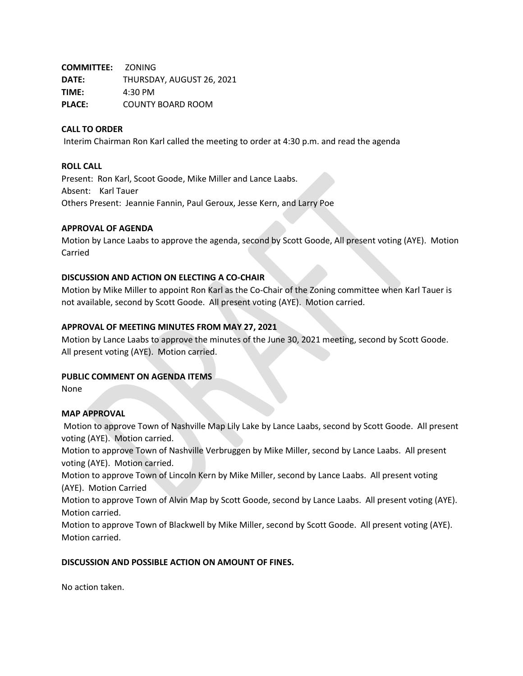**COMMITTEE:** ZONING **DATE:** THURSDAY, AUGUST 26, 2021 **TIME:** 4:30 PM **PLACE:** COUNTY BOARD ROOM

## **CALL TO ORDER**

Interim Chairman Ron Karl called the meeting to order at 4:30 p.m. and read the agenda

#### **ROLL CALL**

Present: Ron Karl, Scoot Goode, Mike Miller and Lance Laabs. Absent: Karl Tauer Others Present: Jeannie Fannin, Paul Geroux, Jesse Kern, and Larry Poe

### **APPROVAL OF AGENDA**

Motion by Lance Laabs to approve the agenda, second by Scott Goode, All present voting (AYE). Motion Carried

### **DISCUSSION AND ACTION ON ELECTING A CO-CHAIR**

Motion by Mike Miller to appoint Ron Karl as the Co-Chair of the Zoning committee when Karl Tauer is not available, second by Scott Goode. All present voting (AYE). Motion carried.

### **APPROVAL OF MEETING MINUTES FROM MAY 27, 2021**

Motion by Lance Laabs to approve the minutes of the June 30, 2021 meeting, second by Scott Goode. All present voting (AYE). Motion carried.

#### **PUBLIC COMMENT ON AGENDA ITEMS**

None

## **MAP APPROVAL**

Motion to approve Town of Nashville Map Lily Lake by Lance Laabs, second by Scott Goode. All present voting (AYE). Motion carried.

Motion to approve Town of Nashville Verbruggen by Mike Miller, second by Lance Laabs. All present voting (AYE). Motion carried.

Motion to approve Town of Lincoln Kern by Mike Miller, second by Lance Laabs. All present voting (AYE). Motion Carried

Motion to approve Town of Alvin Map by Scott Goode, second by Lance Laabs. All present voting (AYE). Motion carried.

Motion to approve Town of Blackwell by Mike Miller, second by Scott Goode. All present voting (AYE). Motion carried.

#### **DISCUSSION AND POSSIBLE ACTION ON AMOUNT OF FINES.**

No action taken.